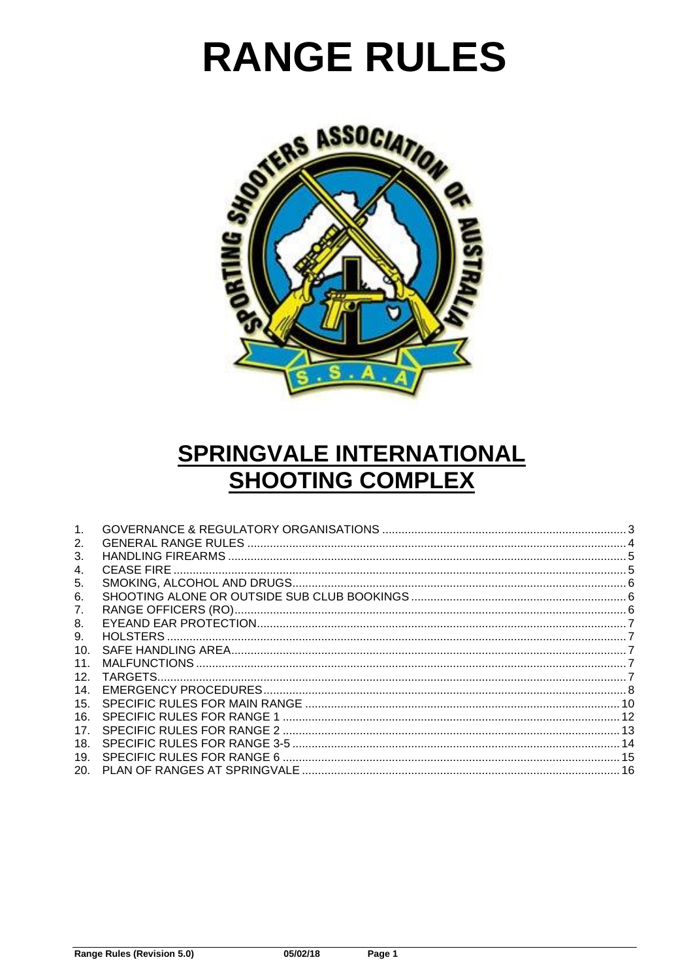# **RANGE RULES**



# SPRINGVALE INTERNATIONAL **SHOOTING COMPLEX**

| 1.  |   |
|-----|---|
| 2.  | 4 |
| 3.  |   |
| 4.  |   |
| 5.  |   |
| 6.  |   |
| 7.  |   |
| 8.  |   |
| 9.  |   |
| 10. |   |
| 11. |   |
| 12. |   |
| 14. |   |
| 15. |   |
| 16. |   |
| 17. |   |
| 18. |   |
| 19. |   |
| 20. |   |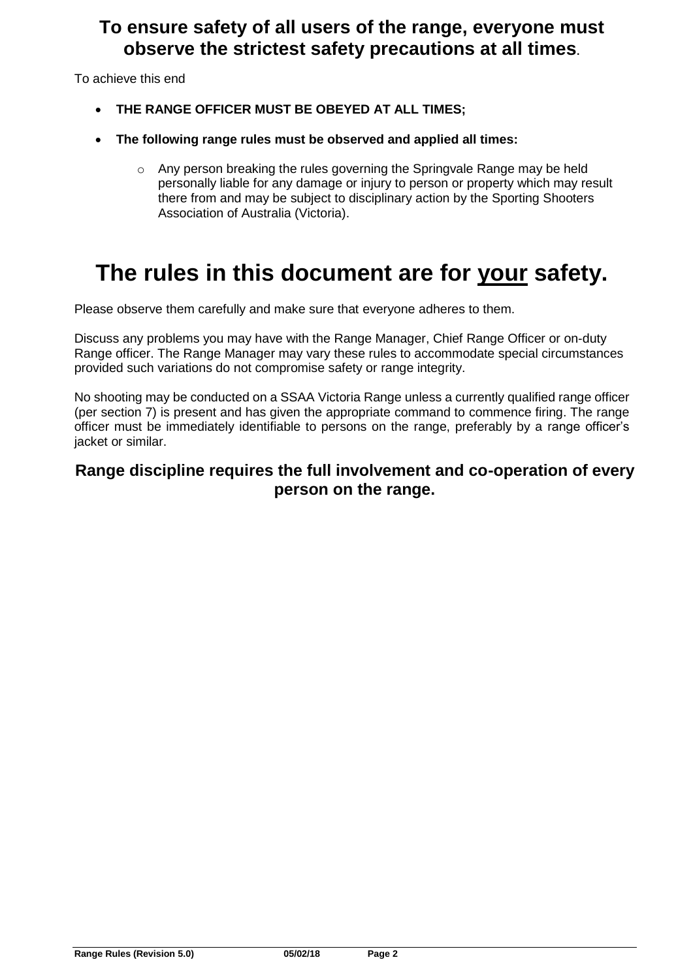### **To ensure safety of all users of the range, everyone must observe the strictest safety precautions at all times.**

To achieve this end

- **THE RANGE OFFICER MUST BE OBEYED AT ALL TIMES;**
- **The following range rules must be observed and applied all times:**
	- o Any person breaking the rules governing the Springvale Range may be held personally liable for any damage or injury to person or property which may result there from and may be subject to disciplinary action by the Sporting Shooters Association of Australia (Victoria).

# **The rules in this document are for your safety.**

Please observe them carefully and make sure that everyone adheres to them.

Discuss any problems you may have with the Range Manager, Chief Range Officer or on-duty Range officer. The Range Manager may vary these rules to accommodate special circumstances provided such variations do not compromise safety or range integrity.

No shooting may be conducted on a SSAA Victoria Range unless a currently qualified range officer (per section 7) is present and has given the appropriate command to commence firing. The range officer must be immediately identifiable to persons on the range, preferably by a range officer's jacket or similar.

### **Range discipline requires the full involvement and co-operation of every person on the range.**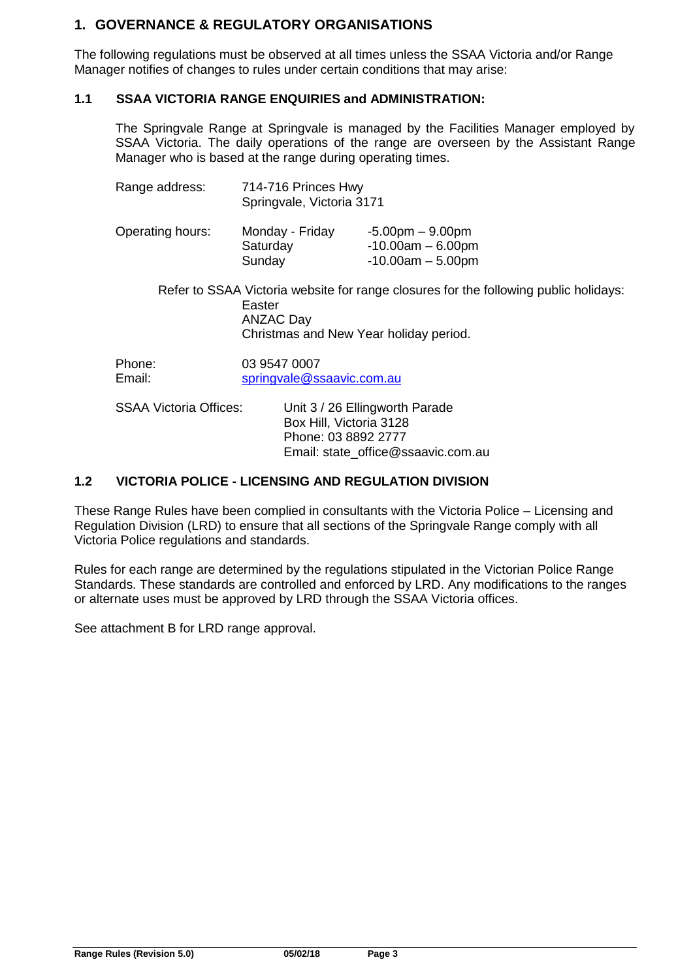#### <span id="page-2-0"></span>**1. GOVERNANCE & REGULATORY ORGANISATIONS**

The following regulations must be observed at all times unless the SSAA Victoria and/or Range Manager notifies of changes to rules under certain conditions that may arise:

#### **1.1 SSAA VICTORIA RANGE ENQUIRIES and ADMINISTRATION:**

The Springvale Range at Springvale is managed by the Facilities Manager employed by SSAA Victoria. The daily operations of the range are overseen by the Assistant Range Manager who is based at the range during operating times.

| Range address:                | 714-716 Princes Hwy<br>Springvale, Victoria 3171 |                                                                                                                                |  |  |
|-------------------------------|--------------------------------------------------|--------------------------------------------------------------------------------------------------------------------------------|--|--|
| Operating hours:              | Monday - Friday<br>Saturday<br>Sunday            | $-5.00$ pm $-9.00$ pm<br>$-10.00am - 6.00pm$<br>$-10.00am - 5.00pm$                                                            |  |  |
|                               | Easter<br><b>ANZAC Day</b>                       | Refer to SSAA Victoria website for range closures for the following public holidays:<br>Christmas and New Year holiday period. |  |  |
| Phone:<br>Email:              | 03 9547 0007                                     | springvale@ssaavic.com.au                                                                                                      |  |  |
| <b>SSAA Victoria Offices:</b> |                                                  | Unit 3 / 26 Ellingworth Parade<br>Box Hill, Victoria 3128                                                                      |  |  |

#### **1.2 VICTORIA POLICE - LICENSING AND REGULATION DIVISION**

These Range Rules have been complied in consultants with the Victoria Police – Licensing and Regulation Division (LRD) to ensure that all sections of the Springvale Range comply with all Victoria Police regulations and standards.

Phone: 03 8892 2777

Email: state\_office@ssaavic.com.au

Rules for each range are determined by the regulations stipulated in the Victorian Police Range Standards. These standards are controlled and enforced by LRD. Any modifications to the ranges or alternate uses must be approved by LRD through the SSAA Victoria offices.

See attachment B for LRD range approval.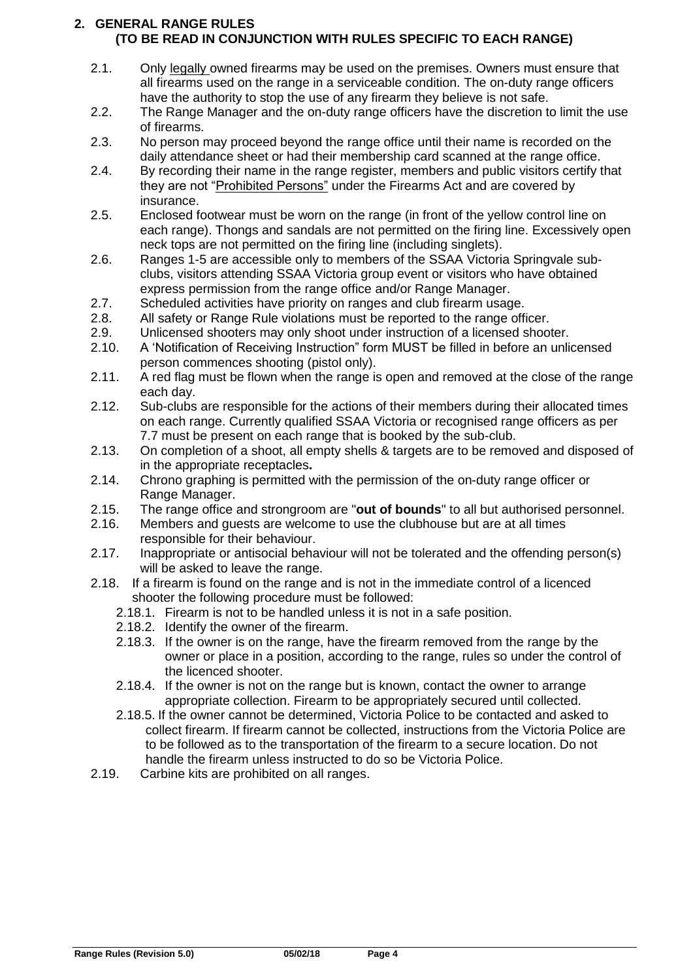#### <span id="page-3-0"></span>**2. GENERAL RANGE RULES (TO BE READ IN CONJUNCTION WITH RULES SPECIFIC TO EACH RANGE)**

- 2.1. Only legally owned firearms may be used on the premises. Owners must ensure that all firearms used on the range in a serviceable condition. The on-duty range officers have the authority to stop the use of any firearm they believe is not safe.
- 2.2. The Range Manager and the on-duty range officers have the discretion to limit the use of firearms.
- 2.3. No person may proceed beyond the range office until their name is recorded on the daily attendance sheet or had their membership card scanned at the range office.
- 2.4. By recording their name in the range register, members and public visitors certify that they are not "Prohibited Persons" under the Firearms Act and are covered by insurance.
- 2.5. Enclosed footwear must be worn on the range (in front of the yellow control line on each range). Thongs and sandals are not permitted on the firing line. Excessively open neck tops are not permitted on the firing line (including singlets).
- 2.6. Ranges 1-5 are accessible only to members of the SSAA Victoria Springvale subclubs, visitors attending SSAA Victoria group event or visitors who have obtained express permission from the range office and/or Range Manager.
- 2.7. Scheduled activities have priority on ranges and club firearm usage.
- 2.8. All safety or Range Rule violations must be reported to the range officer.
- 2.9. Unlicensed shooters may only shoot under instruction of a licensed shooter.
- 2.10. A 'Notification of Receiving Instruction" form MUST be filled in before an unlicensed person commences shooting (pistol only).
- 2.11. A red flag must be flown when the range is open and removed at the close of the range each day.
- 2.12. Sub-clubs are responsible for the actions of their members during their allocated times on each range. Currently qualified SSAA Victoria or recognised range officers as per 7.7 must be present on each range that is booked by the sub-club.
- 2.13. On completion of a shoot, all empty shells & targets are to be removed and disposed of in the appropriate receptacles**.**
- 2.14. Chrono graphing is permitted with the permission of the on-duty range officer or Range Manager.
- 2.15. The range office and strongroom are "**out of bounds**" to all but authorised personnel.
- 2.16. Members and guests are welcome to use the clubhouse but are at all times responsible for their behaviour.
- 2.17. Inappropriate or antisocial behaviour will not be tolerated and the offending person(s) will be asked to leave the range.
- 2.18. If a firearm is found on the range and is not in the immediate control of a licenced shooter the following procedure must be followed:
	- 2.18.1. Firearm is not to be handled unless it is not in a safe position.
	- 2.18.2. Identify the owner of the firearm.
	- 2.18.3. If the owner is on the range, have the firearm removed from the range by the owner or place in a position, according to the range, rules so under the control of the licenced shooter.
	- 2.18.4. If the owner is not on the range but is known, contact the owner to arrange appropriate collection. Firearm to be appropriately secured until collected.
	- 2.18.5. If the owner cannot be determined, Victoria Police to be contacted and asked to collect firearm. If firearm cannot be collected, instructions from the Victoria Police are to be followed as to the transportation of the firearm to a secure location. Do not handle the firearm unless instructed to do so be Victoria Police.
- 2.19. Carbine kits are prohibited on all ranges.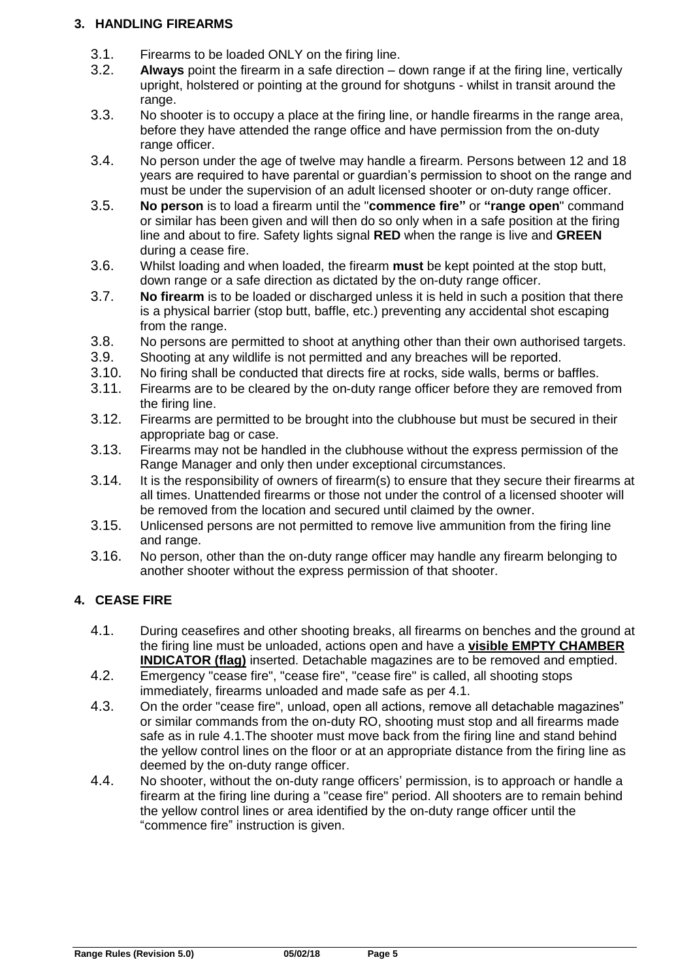#### <span id="page-4-0"></span>**3. HANDLING FIREARMS**

- 3.1. Firearms to be loaded ONLY on the firing line.<br>3.2. **Always** point the firearm in a safe direction  $-$  c
- Always point the firearm in a safe direction down range if at the firing line, vertically upright, holstered or pointing at the ground for shotguns - whilst in transit around the range.
- 3.3. No shooter is to occupy a place at the firing line, or handle firearms in the range area, before they have attended the range office and have permission from the on-duty range officer.
- 3.4. No person under the age of twelve may handle a firearm. Persons between 12 and 18 years are required to have parental or guardian's permission to shoot on the range and must be under the supervision of an adult licensed shooter or on-duty range officer.
- 3.5. **No person** is to load a firearm until the "**commence fire"** or **"range open**" command or similar has been given and will then do so only when in a safe position at the firing line and about to fire. Safety lights signal **RED** when the range is live and **GREEN** during a cease fire.
- 3.6. Whilst loading and when loaded, the firearm **must** be kept pointed at the stop butt, down range or a safe direction as dictated by the on-duty range officer.
- 3.7. **No firearm** is to be loaded or discharged unless it is held in such a position that there is a physical barrier (stop butt, baffle, etc.) preventing any accidental shot escaping from the range.
- 3.8. No persons are permitted to shoot at anything other than their own authorised targets.
- 3.9. Shooting at any wildlife is not permitted and any breaches will be reported.
- 3.10. No firing shall be conducted that directs fire at rocks, side walls, berms or baffles.<br>3.11. Firearms are to be cleared by the on-duty range officer before they are removed from
- Firearms are to be cleared by the on-duty range officer before they are removed from the firing line.
- 3.12. Firearms are permitted to be brought into the clubhouse but must be secured in their appropriate bag or case.
- 3.13. Firearms may not be handled in the clubhouse without the express permission of the Range Manager and only then under exceptional circumstances.
- 3.14. It is the responsibility of owners of firearm(s) to ensure that they secure their firearms at all times. Unattended firearms or those not under the control of a licensed shooter will be removed from the location and secured until claimed by the owner.
- 3.15. Unlicensed persons are not permitted to remove live ammunition from the firing line and range.
- 3.16. No person, other than the on-duty range officer may handle any firearm belonging to another shooter without the express permission of that shooter.

#### <span id="page-4-1"></span>**4. CEASE FIRE**

- 4.1. During ceasefires and other shooting breaks, all firearms on benches and the ground at the firing line must be unloaded, actions open and have a **visible EMPTY CHAMBER INDICATOR (flag)** inserted. Detachable magazines are to be removed and emptied.
- 4.2. Emergency "cease fire", "cease fire", "cease fire" is called, all shooting stops immediately, firearms unloaded and made safe as per 4.1.
- 4.3. On the order "cease fire", unload, open all actions, remove all detachable magazines" or similar commands from the on-duty RO, shooting must stop and all firearms made safe as in rule 4.1.The shooter must move back from the firing line and stand behind the yellow control lines on the floor or at an appropriate distance from the firing line as deemed by the on-duty range officer.
- 4.4. No shooter, without the on-duty range officers' permission, is to approach or handle a firearm at the firing line during a "cease fire" period. All shooters are to remain behind the yellow control lines or area identified by the on-duty range officer until the "commence fire" instruction is given.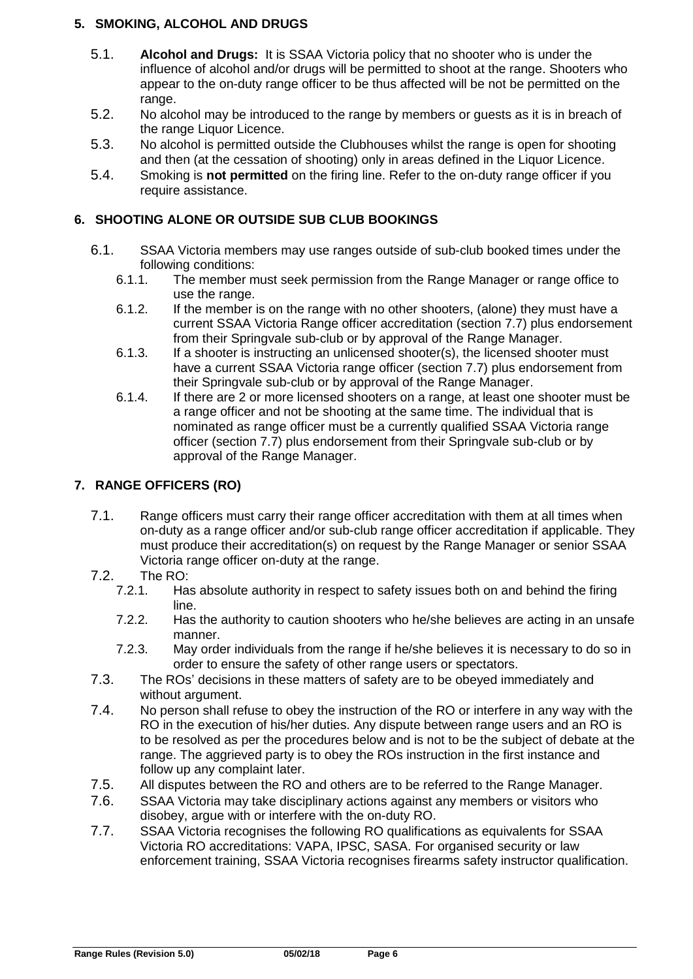#### <span id="page-5-0"></span>**5. SMOKING, ALCOHOL AND DRUGS**

- 5.1. **Alcohol and Drugs:** It is SSAA Victoria policy that no shooter who is under the influence of alcohol and/or drugs will be permitted to shoot at the range. Shooters who appear to the on-duty range officer to be thus affected will be not be permitted on the range.
- 5.2. No alcohol may be introduced to the range by members or guests as it is in breach of the range Liquor Licence.
- 5.3. No alcohol is permitted outside the Clubhouses whilst the range is open for shooting and then (at the cessation of shooting) only in areas defined in the Liquor Licence.
- 5.4. Smoking is **not permitted** on the firing line. Refer to the on-duty range officer if you require assistance.

#### <span id="page-5-1"></span>**6. SHOOTING ALONE OR OUTSIDE SUB CLUB BOOKINGS**

- 6.1. SSAA Victoria members may use ranges outside of sub-club booked times under the following conditions:
	- 6.1.1. The member must seek permission from the Range Manager or range office to use the range.
	- 6.1.2. If the member is on the range with no other shooters, (alone) they must have a current SSAA Victoria Range officer accreditation (section 7.7) plus endorsement from their Springvale sub-club or by approval of the Range Manager.
	- 6.1.3. If a shooter is instructing an unlicensed shooter(s), the licensed shooter must have a current SSAA Victoria range officer (section 7.7) plus endorsement from their Springvale sub-club or by approval of the Range Manager.
	- 6.1.4. If there are 2 or more licensed shooters on a range, at least one shooter must be a range officer and not be shooting at the same time. The individual that is nominated as range officer must be a currently qualified SSAA Victoria range officer (section 7.7) plus endorsement from their Springvale sub-club or by approval of the Range Manager.

#### <span id="page-5-2"></span>**7. RANGE OFFICERS (RO)**

- 7.1. Range officers must carry their range officer accreditation with them at all times when on-duty as a range officer and/or sub-club range officer accreditation if applicable. They must produce their accreditation(s) on request by the Range Manager or senior SSAA Victoria range officer on-duty at the range.
- 7.2. The RO:
	- 7.2.1. Has absolute authority in respect to safety issues both on and behind the firing line.
	- 7.2.2. Has the authority to caution shooters who he/she believes are acting in an unsafe manner.
	- 7.2.3. May order individuals from the range if he/she believes it is necessary to do so in order to ensure the safety of other range users or spectators.
- 7.3. The ROs' decisions in these matters of safety are to be obeyed immediately and without argument.
- 7.4. No person shall refuse to obey the instruction of the RO or interfere in any way with the RO in the execution of his/her duties. Any dispute between range users and an RO is to be resolved as per the procedures below and is not to be the subject of debate at the range. The aggrieved party is to obey the ROs instruction in the first instance and follow up any complaint later.
- 7.5. All disputes between the RO and others are to be referred to the Range Manager.
- 7.6. SSAA Victoria may take disciplinary actions against any members or visitors who disobey, argue with or interfere with the on-duty RO.
- 7.7. SSAA Victoria recognises the following RO qualifications as equivalents for SSAA Victoria RO accreditations: VAPA, IPSC, SASA. For organised security or law enforcement training, SSAA Victoria recognises firearms safety instructor qualification.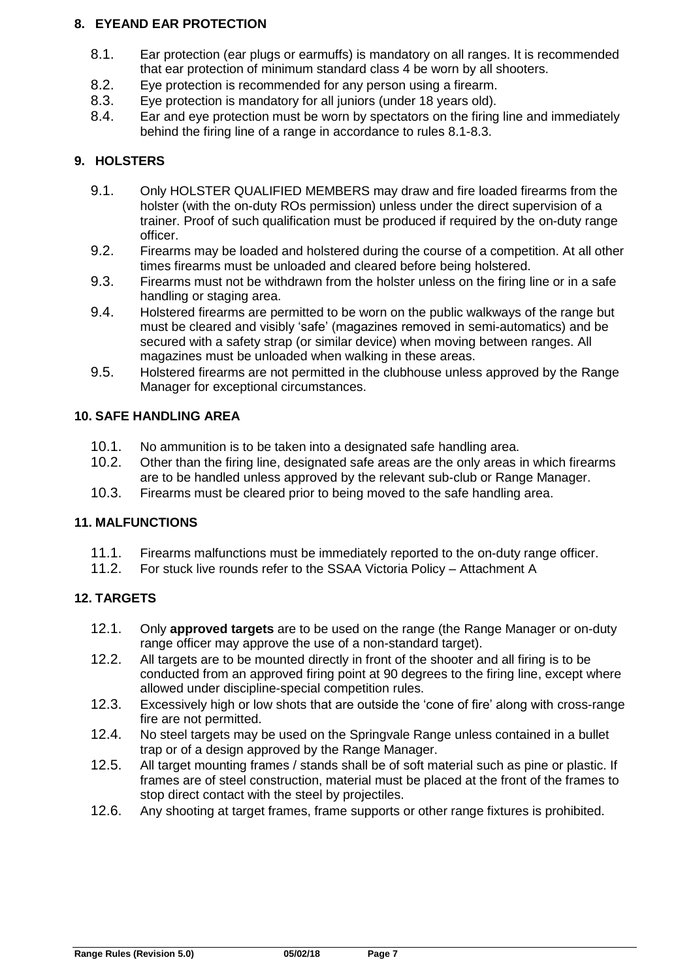#### <span id="page-6-0"></span>**8. EYEAND EAR PROTECTION**

- 8.1. Ear protection (ear plugs or earmuffs) is mandatory on all ranges. It is recommended that ear protection of minimum standard class 4 be worn by all shooters.
- 8.2. Eye protection is recommended for any person using a firearm.
- 8.3. Eye protection is mandatory for all juniors (under 18 years old).
- 8.4. Ear and eye protection must be worn by spectators on the firing line and immediately behind the firing line of a range in accordance to rules 8.1-8.3.

#### <span id="page-6-1"></span>**9. HOLSTERS**

- 9.1. Only HOLSTER QUALIFIED MEMBERS may draw and fire loaded firearms from the holster (with the on-duty ROs permission) unless under the direct supervision of a trainer. Proof of such qualification must be produced if required by the on-duty range officer.
- 9.2. Firearms may be loaded and holstered during the course of a competition. At all other times firearms must be unloaded and cleared before being holstered.
- 9.3. Firearms must not be withdrawn from the holster unless on the firing line or in a safe handling or staging area.
- 9.4. Holstered firearms are permitted to be worn on the public walkways of the range but must be cleared and visibly 'safe' (magazines removed in semi-automatics) and be secured with a safety strap (or similar device) when moving between ranges. All magazines must be unloaded when walking in these areas.
- 9.5. Holstered firearms are not permitted in the clubhouse unless approved by the Range Manager for exceptional circumstances.

#### <span id="page-6-2"></span>**10. SAFE HANDLING AREA**

- 10.1. No ammunition is to be taken into a designated safe handling area.
- 10.2. Other than the firing line, designated safe areas are the only areas in which firearms are to be handled unless approved by the relevant sub-club or Range Manager.
- 10.3. Firearms must be cleared prior to being moved to the safe handling area.

#### <span id="page-6-3"></span>**11. MALFUNCTIONS**

- 11.1. Firearms malfunctions must be immediately reported to the on-duty range officer.
- 11.2. For stuck live rounds refer to the SSAA Victoria Policy Attachment A

#### <span id="page-6-4"></span>**12. TARGETS**

- 12.1. Only **approved targets** are to be used on the range (the Range Manager or on-duty range officer may approve the use of a non-standard target).
- 12.2. All targets are to be mounted directly in front of the shooter and all firing is to be conducted from an approved firing point at 90 degrees to the firing line, except where allowed under discipline-special competition rules.
- 12.3. Excessively high or low shots that are outside the 'cone of fire' along with cross-range fire are not permitted.
- 12.4. No steel targets may be used on the Springvale Range unless contained in a bullet trap or of a design approved by the Range Manager.
- 12.5. All target mounting frames / stands shall be of soft material such as pine or plastic. If frames are of steel construction, material must be placed at the front of the frames to stop direct contact with the steel by projectiles.
- 12.6. Any shooting at target frames, frame supports or other range fixtures is prohibited.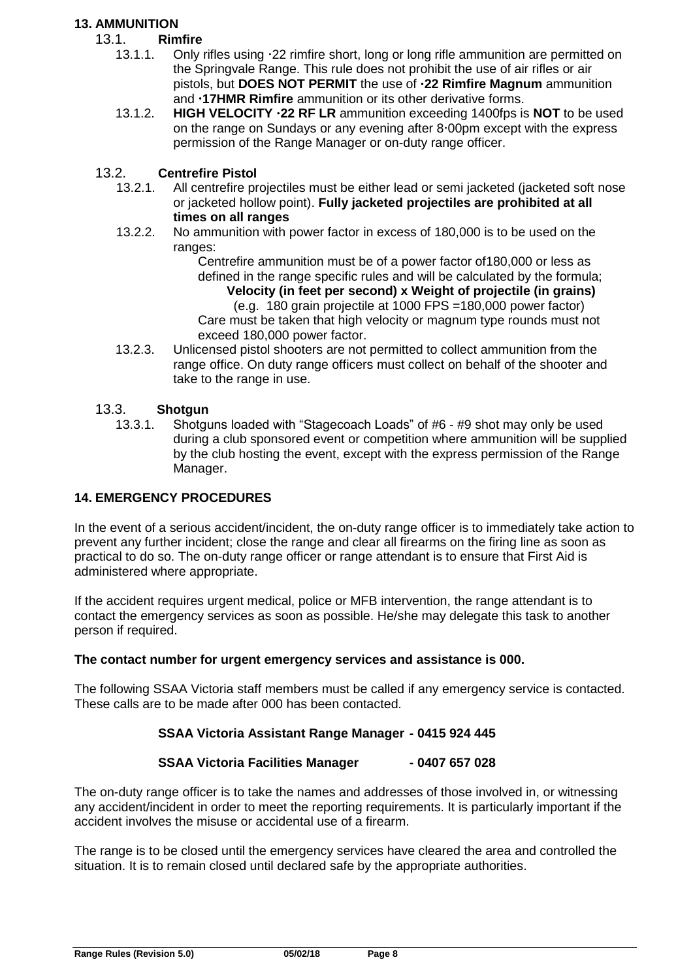#### **13. AMMUNITION**

#### 13.1. **Rimfire**

- 13.1.1. Only rifles using  $22$  rimfire short, long or long rifle ammunition are permitted on the Springvale Range. This rule does not prohibit the use of air rifles or air pistols, but **DOES NOT PERMIT** the use of **22 Rimfire Magnum** ammunition and **17HMR Rimfire** ammunition or its other derivative forms.
- 13.1.2. **HIGH VELOCITY 22 RF LR** ammunition exceeding 1400fps is **NOT** to be used on the range on Sundays or any evening after  $8.00$ pm except with the express permission of the Range Manager or on-duty range officer.

#### 13.2. **Centrefire Pistol**

- 13.2.1. All centrefire projectiles must be either lead or semi jacketed (jacketed soft nose or jacketed hollow point). **Fully jacketed projectiles are prohibited at all times on all ranges**
- 13.2.2. No ammunition with power factor in excess of 180,000 is to be used on the ranges:

Centrefire ammunition must be of a power factor of180,000 or less as defined in the range specific rules and will be calculated by the formula;  **Velocity (in feet per second) x Weight of projectile (in grains)** 

 (e.g. 180 grain projectile at 1000 FPS =180,000 power factor) Care must be taken that high velocity or magnum type rounds must not exceed 180,000 power factor.

13.2.3. Unlicensed pistol shooters are not permitted to collect ammunition from the range office. On duty range officers must collect on behalf of the shooter and take to the range in use.

#### 13.3. **Shotgun**

13.3.1. Shotguns loaded with "Stagecoach Loads" of #6 - #9 shot may only be used during a club sponsored event or competition where ammunition will be supplied by the club hosting the event, except with the express permission of the Range Manager.

#### <span id="page-7-0"></span>**14. EMERGENCY PROCEDURES**

In the event of a serious accident/incident, the on-duty range officer is to immediately take action to prevent any further incident; close the range and clear all firearms on the firing line as soon as practical to do so. The on-duty range officer or range attendant is to ensure that First Aid is administered where appropriate.

If the accident requires urgent medical, police or MFB intervention, the range attendant is to contact the emergency services as soon as possible. He/she may delegate this task to another person if required.

#### **The contact number for urgent emergency services and assistance is 000.**

The following SSAA Victoria staff members must be called if any emergency service is contacted. These calls are to be made after 000 has been contacted.

#### **SSAA Victoria Assistant Range Manager - 0415 924 445**

#### **SSAA Victoria Facilities Manager - 0407 657 028**

The on-duty range officer is to take the names and addresses of those involved in, or witnessing any accident/incident in order to meet the reporting requirements. It is particularly important if the accident involves the misuse or accidental use of a firearm.

The range is to be closed until the emergency services have cleared the area and controlled the situation. It is to remain closed until declared safe by the appropriate authorities.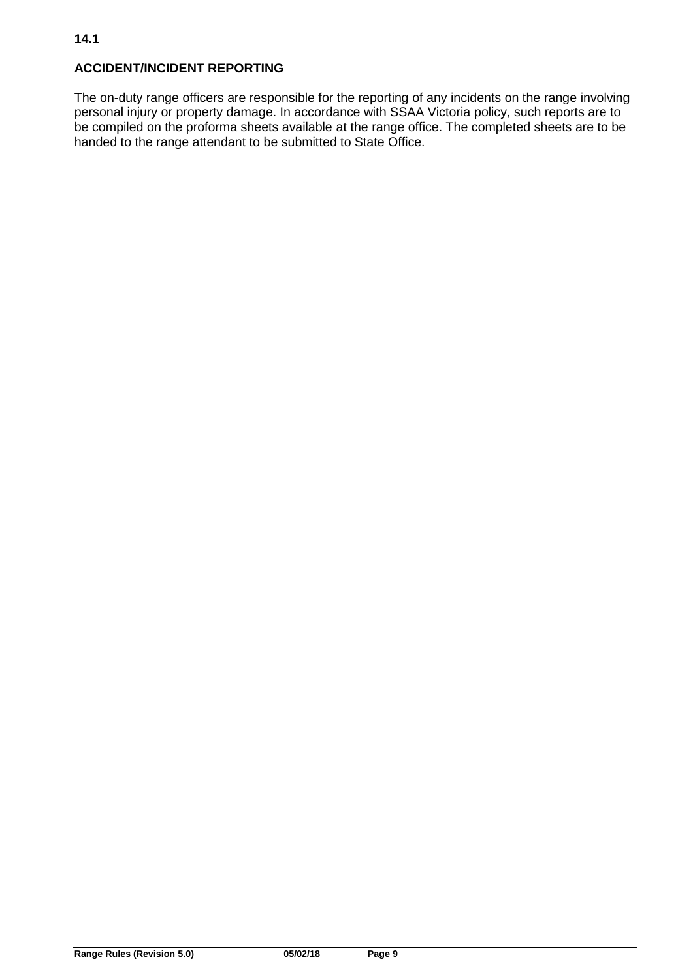#### **ACCIDENT/INCIDENT REPORTING**

The on-duty range officers are responsible for the reporting of any incidents on the range involving personal injury or property damage. In accordance with SSAA Victoria policy, such reports are to be compiled on the proforma sheets available at the range office. The completed sheets are to be handed to the range attendant to be submitted to State Office.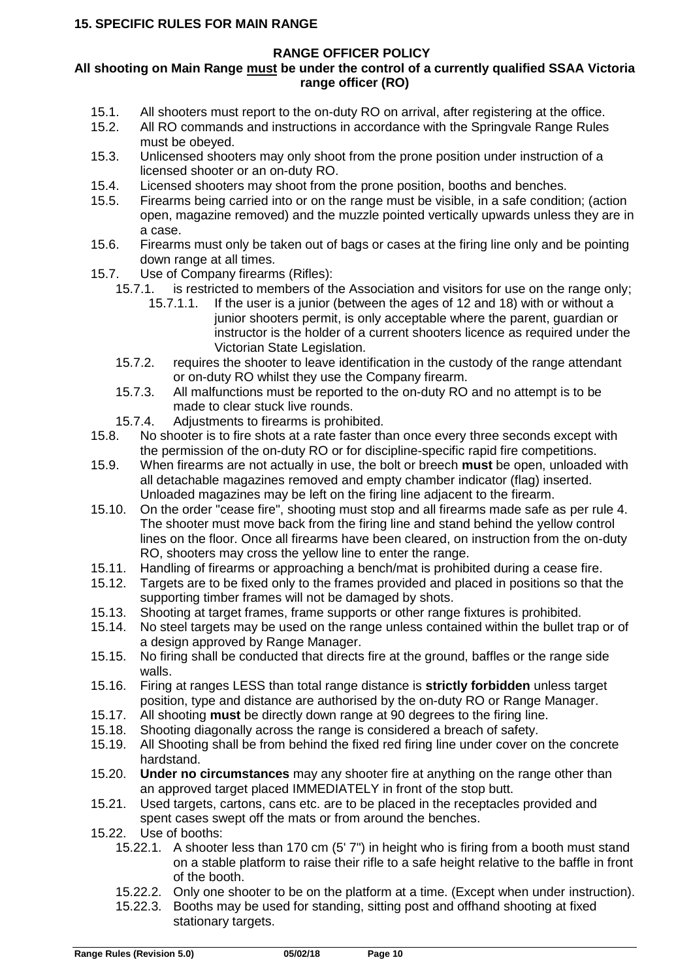#### <span id="page-9-0"></span>**All shooting on Main Range must be under the control of a currently qualified SSAA Victoria range officer (RO)**

- 15.1. All shooters must report to the on-duty RO on arrival, after registering at the office.
- 15.2. All RO commands and instructions in accordance with the Springvale Range Rules must be obeyed.
- 15.3. Unlicensed shooters may only shoot from the prone position under instruction of a licensed shooter or an on-duty RO.
- 15.4. Licensed shooters may shoot from the prone position, booths and benches.<br>15.5. Firearms being carried into or on the range must be visible, in a safe condition
- Firearms being carried into or on the range must be visible, in a safe condition; (action open, magazine removed) and the muzzle pointed vertically upwards unless they are in a case.
- 15.6. Firearms must only be taken out of bags or cases at the firing line only and be pointing down range at all times.
- 15.7. Use of Company firearms (Rifles):<br>15.7.1. is restricted to members of th
	- is restricted to members of the Association and visitors for use on the range only;
		- 15.7.1.1. If the user is a junior (between the ages of 12 and 18) with or without a junior shooters permit, is only acceptable where the parent, guardian or instructor is the holder of a current shooters licence as required under the Victorian State Legislation.
	- 15.7.2. requires the shooter to leave identification in the custody of the range attendant or on-duty RO whilst they use the Company firearm.
	- 15.7.3. All malfunctions must be reported to the on-duty RO and no attempt is to be made to clear stuck live rounds.
	-
- 15.7.4. Adjustments to firearms is prohibited.<br>15.8. No shooter is to fire shots at a rate faster th No shooter is to fire shots at a rate faster than once every three seconds except with the permission of the on-duty RO or for discipline-specific rapid fire competitions.
- 15.9. When firearms are not actually in use, the bolt or breech **must** be open, unloaded with all detachable magazines removed and empty chamber indicator (flag) inserted. Unloaded magazines may be left on the firing line adjacent to the firearm.
- 15.10. On the order "cease fire", shooting must stop and all firearms made safe as per rule 4. The shooter must move back from the firing line and stand behind the yellow control lines on the floor. Once all firearms have been cleared, on instruction from the on-duty RO, shooters may cross the yellow line to enter the range.
- 15.11. Handling of firearms or approaching a bench/mat is prohibited during a cease fire.
- 15.12. Targets are to be fixed only to the frames provided and placed in positions so that the supporting timber frames will not be damaged by shots.
- 15.13. Shooting at target frames, frame supports or other range fixtures is prohibited.
- 15.14. No steel targets may be used on the range unless contained within the bullet trap or of a design approved by Range Manager.
- 15.15. No firing shall be conducted that directs fire at the ground, baffles or the range side walls.
- 15.16. Firing at ranges LESS than total range distance is **strictly forbidden** unless target position, type and distance are authorised by the on-duty RO or Range Manager.
- 15.17. All shooting **must** be directly down range at 90 degrees to the firing line.
- 15.18. Shooting diagonally across the range is considered a breach of safety.
- 15.19. All Shooting shall be from behind the fixed red firing line under cover on the concrete hardstand.
- 15.20. **Under no circumstances** may any shooter fire at anything on the range other than an approved target placed IMMEDIATELY in front of the stop butt.
- 15.21. Used targets, cartons, cans etc. are to be placed in the receptacles provided and spent cases swept off the mats or from around the benches.
- 15.22. Use of booths:
	- 15.22.1. A shooter less than 170 cm (5' 7") in height who is firing from a booth must stand on a stable platform to raise their rifle to a safe height relative to the baffle in front of the booth.
	- 15.22.2. Only one shooter to be on the platform at a time. (Except when under instruction).
	- 15.22.3. Booths may be used for standing, sitting post and offhand shooting at fixed stationary targets.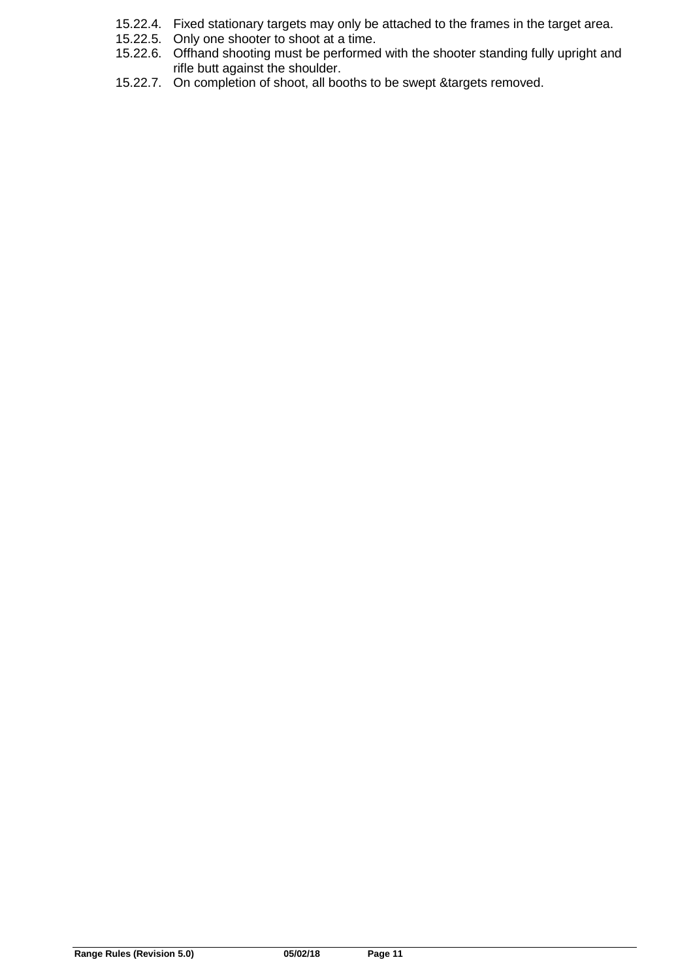- 15.22.4. Fixed stationary targets may only be attached to the frames in the target area.
- 15.22.5. Only one shooter to shoot at a time.
- 15.22.6. Offhand shooting must be performed with the shooter standing fully upright and rifle butt against the shoulder.
- 15.22.7. On completion of shoot, all booths to be swept &targets removed.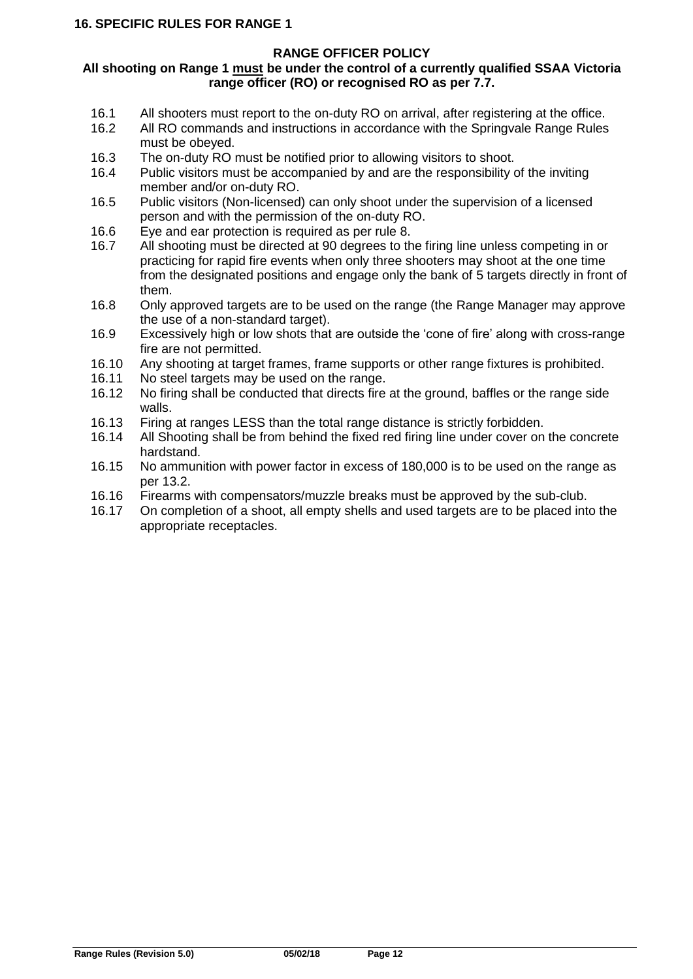#### <span id="page-11-0"></span>**All shooting on Range 1 must be under the control of a currently qualified SSAA Victoria range officer (RO) or recognised RO as per 7.7.**

- 16.1 All shooters must report to the on-duty RO on arrival, after registering at the office.<br>16.2 All RO commands and instructions in accordance with the Springvale Range Rules
- All RO commands and instructions in accordance with the Springvale Range Rules must be obeyed.
- 16.3 The on-duty RO must be notified prior to allowing visitors to shoot.
- 16.4 Public visitors must be accompanied by and are the responsibility of the inviting member and/or on-duty RO.
- 16.5 Public visitors (Non-licensed) can only shoot under the supervision of a licensed person and with the permission of the on-duty RO.
- 16.6 Eye and ear protection is required as per rule 8.<br>16.7 All shooting must be directed at 90 degrees to the
- All shooting must be directed at 90 degrees to the firing line unless competing in or practicing for rapid fire events when only three shooters may shoot at the one time from the designated positions and engage only the bank of 5 targets directly in front of them.
- 16.8 Only approved targets are to be used on the range (the Range Manager may approve the use of a non-standard target).
- 16.9 Excessively high or low shots that are outside the 'cone of fire' along with cross-range fire are not permitted.
- 16.10 Any shooting at target frames, frame supports or other range fixtures is prohibited.<br>16.11 No steel targets may be used on the range.
- No steel targets may be used on the range.
- 16.12 No firing shall be conducted that directs fire at the ground, baffles or the range side walls.
- 16.13 Firing at ranges LESS than the total range distance is strictly forbidden.
- 16.14 All Shooting shall be from behind the fixed red firing line under cover on the concrete hardstand.
- 16.15 No ammunition with power factor in excess of 180,000 is to be used on the range as per 13.2.
- 16.16 Firearms with compensators/muzzle breaks must be approved by the sub-club.
- 16.17 On completion of a shoot, all empty shells and used targets are to be placed into the appropriate receptacles.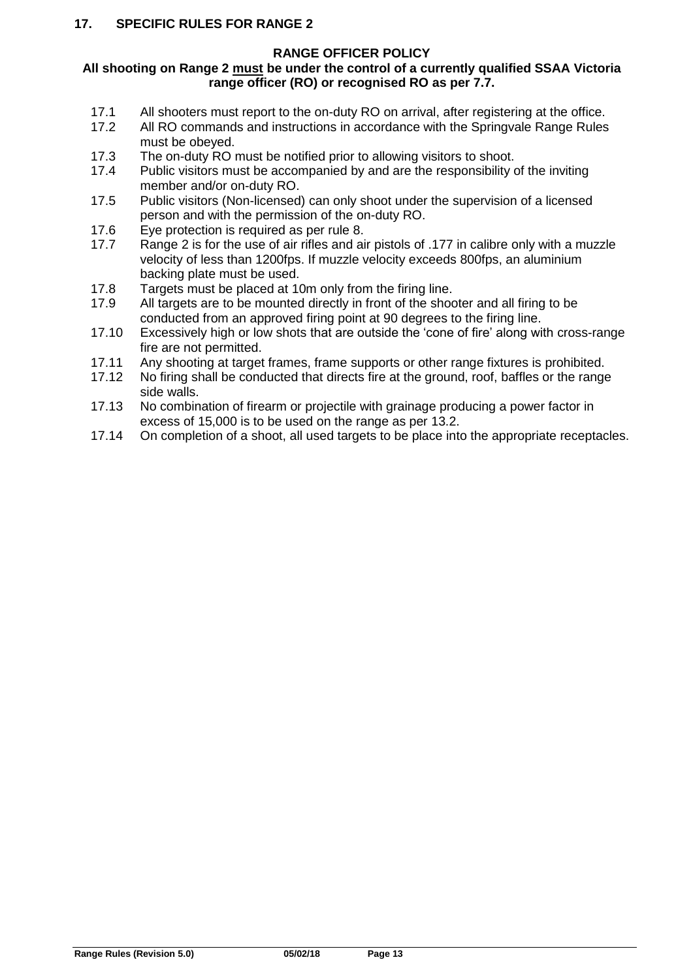#### <span id="page-12-0"></span>**All shooting on Range 2 must be under the control of a currently qualified SSAA Victoria range officer (RO) or recognised RO as per 7.7.**

- 17.1 All shooters must report to the on-duty RO on arrival, after registering at the office.
- 17.2 All RO commands and instructions in accordance with the Springvale Range Rules must be obeyed.
- 17.3 The on-duty RO must be notified prior to allowing visitors to shoot.<br>17.4 Public visitors must be accompanied by and are the responsibility of
- Public visitors must be accompanied by and are the responsibility of the inviting member and/or on-duty RO.
- 17.5 Public visitors (Non-licensed) can only shoot under the supervision of a licensed person and with the permission of the on-duty RO.
- 17.6 Eye protection is required as per rule 8.
- 17.7 Range 2 is for the use of air rifles and air pistols of .177 in calibre only with a muzzle velocity of less than 1200fps. If muzzle velocity exceeds 800fps, an aluminium backing plate must be used.
- 17.8 Targets must be placed at 10m only from the firing line.<br>17.9 All targets are to be mounted directly in front of the shoot
- All targets are to be mounted directly in front of the shooter and all firing to be conducted from an approved firing point at 90 degrees to the firing line.
- 17.10 Excessively high or low shots that are outside the 'cone of fire' along with cross-range fire are not permitted.
- 17.11 Any shooting at target frames, frame supports or other range fixtures is prohibited.<br>17.12 No firing shall be conducted that directs fire at the ground, roof, baffles or the range
- No firing shall be conducted that directs fire at the ground, roof, baffles or the range side walls.
- 17.13 No combination of firearm or projectile with grainage producing a power factor in excess of 15,000 is to be used on the range as per 13.2.
- 17.14 On completion of a shoot, all used targets to be place into the appropriate receptacles.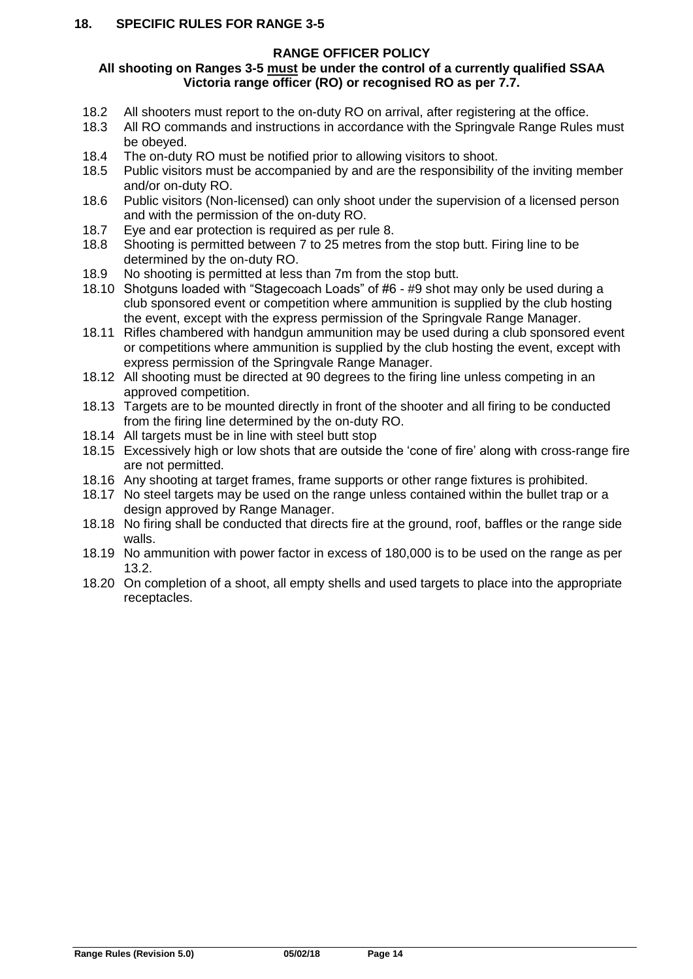#### <span id="page-13-0"></span>**18. SPECIFIC RULES FOR RANGE 3-5**

#### **RANGE OFFICER POLICY**

#### **All shooting on Ranges 3-5 must be under the control of a currently qualified SSAA Victoria range officer (RO) or recognised RO as per 7.7.**

- 18.2 All shooters must report to the on-duty RO on arrival, after registering at the office.
- 18.3 All RO commands and instructions in accordance with the Springvale Range Rules must be obeyed.
- 18.4 The on-duty RO must be notified prior to allowing visitors to shoot.<br>18.5 Public visitors must be accompanied by and are the responsibility of
- Public visitors must be accompanied by and are the responsibility of the inviting member and/or on-duty RO.
- 18.6 Public visitors (Non-licensed) can only shoot under the supervision of a licensed person and with the permission of the on-duty RO.
- 18.7 Eye and ear protection is required as per rule 8.
- 18.8 Shooting is permitted between 7 to 25 metres from the stop butt. Firing line to be determined by the on-duty RO.
- 18.9 No shooting is permitted at less than 7m from the stop butt.
- 18.10 Shotguns loaded with "Stagecoach Loads" of #6 #9 shot may only be used during a club sponsored event or competition where ammunition is supplied by the club hosting the event, except with the express permission of the Springvale Range Manager.
- 18.11 Rifles chambered with handgun ammunition may be used during a club sponsored event or competitions where ammunition is supplied by the club hosting the event, except with express permission of the Springvale Range Manager.
- 18.12 All shooting must be directed at 90 degrees to the firing line unless competing in an approved competition.
- 18.13 Targets are to be mounted directly in front of the shooter and all firing to be conducted from the firing line determined by the on-duty RO.
- 18.14 All targets must be in line with steel butt stop
- 18.15 Excessively high or low shots that are outside the 'cone of fire' along with cross-range fire are not permitted.
- 18.16 Any shooting at target frames, frame supports or other range fixtures is prohibited.
- 18.17 No steel targets may be used on the range unless contained within the bullet trap or a design approved by Range Manager.
- 18.18 No firing shall be conducted that directs fire at the ground, roof, baffles or the range side walls.
- 18.19 No ammunition with power factor in excess of 180,000 is to be used on the range as per 13.2.
- 18.20 On completion of a shoot, all empty shells and used targets to place into the appropriate receptacles.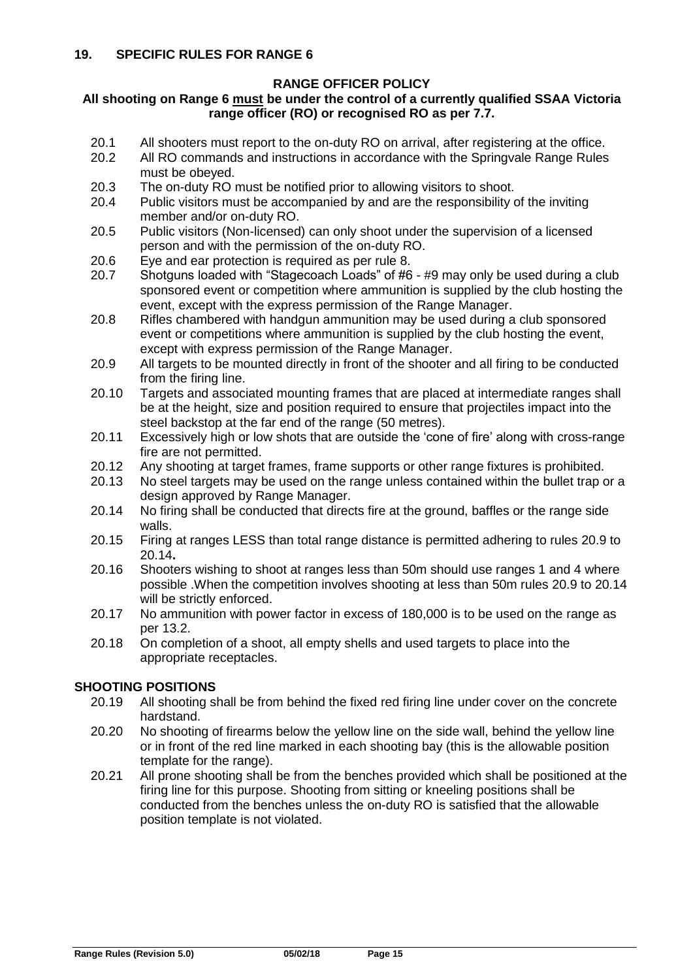#### <span id="page-14-0"></span>**All shooting on Range 6 must be under the control of a currently qualified SSAA Victoria range officer (RO) or recognised RO as per 7.7.**

- 20.1 All shooters must report to the on-duty RO on arrival, after registering at the office.<br>20.2 All RO commands and instructions in accordance with the Springvale Range Rules
- All RO commands and instructions in accordance with the Springvale Range Rules must be obeyed.
- 20.3 The on-duty RO must be notified prior to allowing visitors to shoot.
- 20.4 Public visitors must be accompanied by and are the responsibility of the inviting member and/or on-duty RO.
- 20.5 Public visitors (Non-licensed) can only shoot under the supervision of a licensed person and with the permission of the on-duty RO.
- 20.6 Eye and ear protection is required as per rule 8.
- 20.7 Shotguns loaded with "Stagecoach Loads" of #6 #9 may only be used during a club sponsored event or competition where ammunition is supplied by the club hosting the event, except with the express permission of the Range Manager.
- 20.8 Rifles chambered with handgun ammunition may be used during a club sponsored event or competitions where ammunition is supplied by the club hosting the event, except with express permission of the Range Manager.
- 20.9 All targets to be mounted directly in front of the shooter and all firing to be conducted from the firing line.
- 20.10 Targets and associated mounting frames that are placed at intermediate ranges shall be at the height, size and position required to ensure that projectiles impact into the steel backstop at the far end of the range (50 metres).
- 20.11 Excessively high or low shots that are outside the 'cone of fire' along with cross-range fire are not permitted.
- 20.12 Any shooting at target frames, frame supports or other range fixtures is prohibited.
- 20.13 No steel targets may be used on the range unless contained within the bullet trap or a design approved by Range Manager.
- 20.14 No firing shall be conducted that directs fire at the ground, baffles or the range side walls.
- 20.15 Firing at ranges LESS than total range distance is permitted adhering to rules 20.9 to 20.14**.**
- 20.16 Shooters wishing to shoot at ranges less than 50m should use ranges 1 and 4 where possible .When the competition involves shooting at less than 50m rules 20.9 to 20.14 will be strictly enforced.
- 20.17 No ammunition with power factor in excess of 180,000 is to be used on the range as per 13.2.
- 20.18 On completion of a shoot, all empty shells and used targets to place into the appropriate receptacles.

#### **SHOOTING POSITIONS**

- 20.19 All shooting shall be from behind the fixed red firing line under cover on the concrete hardstand.
- 20.20 No shooting of firearms below the yellow line on the side wall, behind the yellow line or in front of the red line marked in each shooting bay (this is the allowable position template for the range).
- 20.21 All prone shooting shall be from the benches provided which shall be positioned at the firing line for this purpose. Shooting from sitting or kneeling positions shall be conducted from the benches unless the on-duty RO is satisfied that the allowable position template is not violated.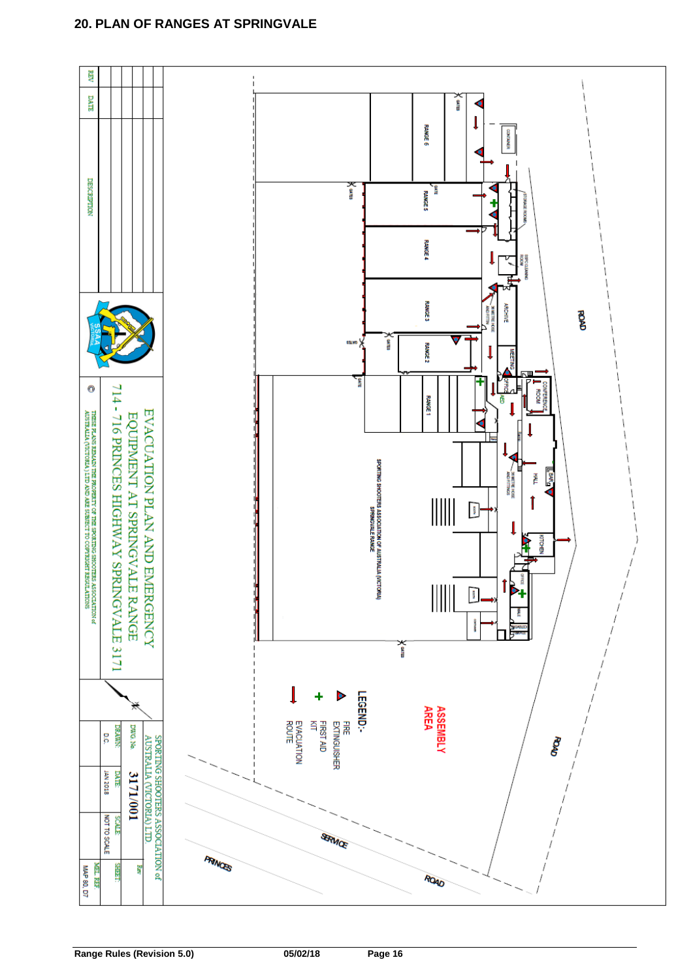#### <span id="page-15-0"></span>**20. PLAN OF RANGES AT SPRINGVALE**

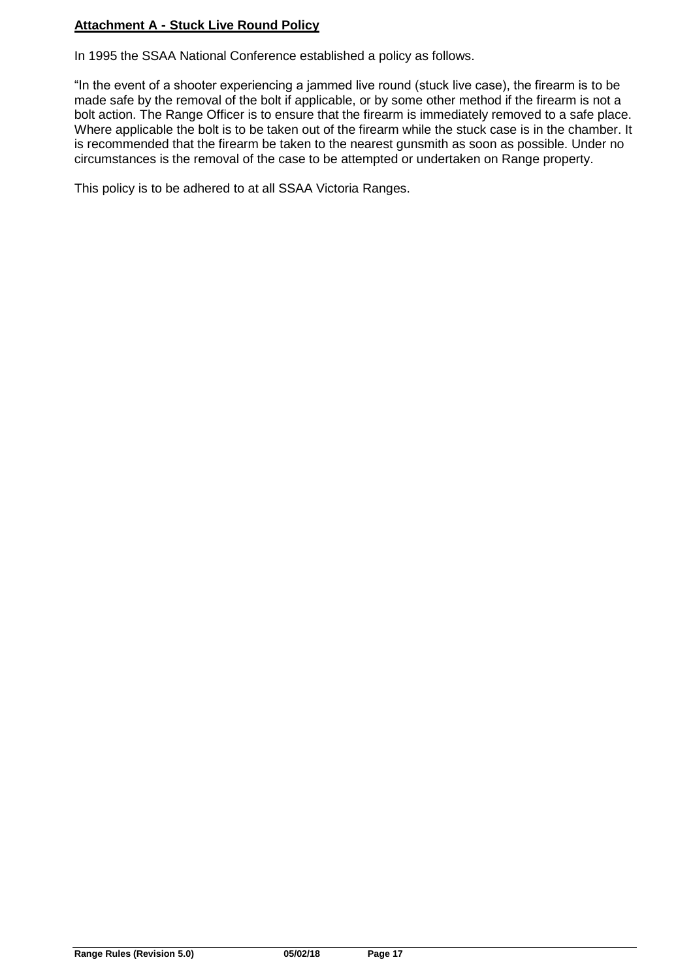#### **Attachment A - Stuck Live Round Policy**

In 1995 the SSAA National Conference established a policy as follows.

"In the event of a shooter experiencing a jammed live round (stuck live case), the firearm is to be made safe by the removal of the bolt if applicable, or by some other method if the firearm is not a bolt action. The Range Officer is to ensure that the firearm is immediately removed to a safe place. Where applicable the bolt is to be taken out of the firearm while the stuck case is in the chamber. It is recommended that the firearm be taken to the nearest gunsmith as soon as possible. Under no circumstances is the removal of the case to be attempted or undertaken on Range property.

This policy is to be adhered to at all SSAA Victoria Ranges.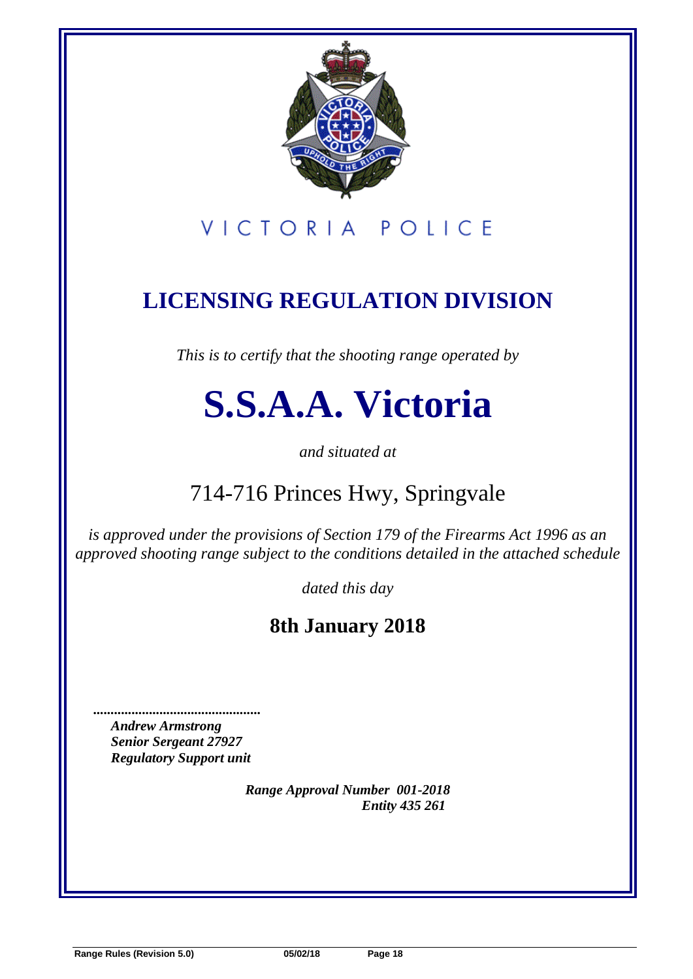

# VICTORIA POLICE

# **LICENSING REGULATION DIVISION**

*This is to certify that the shooting range operated by*

# **S.S.A.A. Victoria**

*and situated at*

# 714-716 Princes Hwy, Springvale

*is approved under the provisions of Section 179 of the Firearms Act 1996 as an approved shooting range subject to the conditions detailed in the attached schedule*

*dated this day* 

### **8th January 2018**

*Andrew Armstrong Senior Sergeant 27927 Regulatory Support unit*

 *................................................* 

*Range Approval Number 001-2018 Entity 435 261*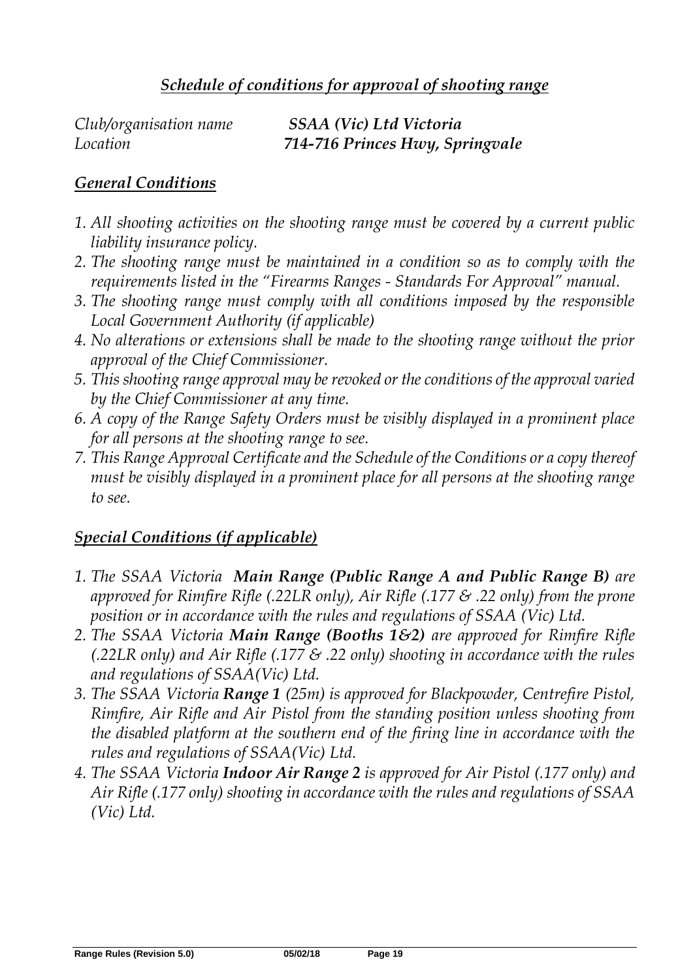| Club/organisation name | SSAA (Vic) Ltd Victoria         |
|------------------------|---------------------------------|
| Location               | 714-716 Princes Hwy, Springvale |

### *General Conditions*

- *1. All shooting activities on the shooting range must be covered by a current public liability insurance policy.*
- *2. The shooting range must be maintained in a condition so as to comply with the requirements listed in the "Firearms Ranges - Standards For Approval" manual.*
- *3. The shooting range must comply with all conditions imposed by the responsible Local Government Authority (if applicable)*
- *4. No alterations or extensions shall be made to the shooting range without the prior approval of the Chief Commissioner.*
- *5. This shooting range approval may be revoked or the conditions of the approval varied by the Chief Commissioner at any time.*
- *6. A copy of the Range Safety Orders must be visibly displayed in a prominent place for all persons at the shooting range to see.*
- *7. This Range Approval Certificate and the Schedule of the Conditions or a copy thereof must be visibly displayed in a prominent place for all persons at the shooting range to see.*

### *Special Conditions (if applicable)*

- *1. The SSAA Victoria Main Range (Public Range A and Public Range B) are approved for Rimfire Rifle (.22LR only), Air Rifle (.177 & .22 only) from the prone position or in accordance with the rules and regulations of SSAA (Vic) Ltd.*
- *2. The SSAA Victoria Main Range (Booths 1&2) are approved for Rimfire Rifle (.22LR only) and Air Rifle (.177 & .22 only) shooting in accordance with the rules and regulations of SSAA(Vic) Ltd.*
- *3. The SSAA Victoria Range 1 (25m) is approved for Blackpowder, Centrefire Pistol, Rimfire, Air Rifle and Air Pistol from the standing position unless shooting from the disabled platform at the southern end of the firing line in accordance with the rules and regulations of SSAA(Vic) Ltd.*
- *4. The SSAA Victoria Indoor Air Range 2 is approved for Air Pistol (.177 only) and Air Rifle (.177 only) shooting in accordance with the rules and regulations of SSAA (Vic) Ltd.*